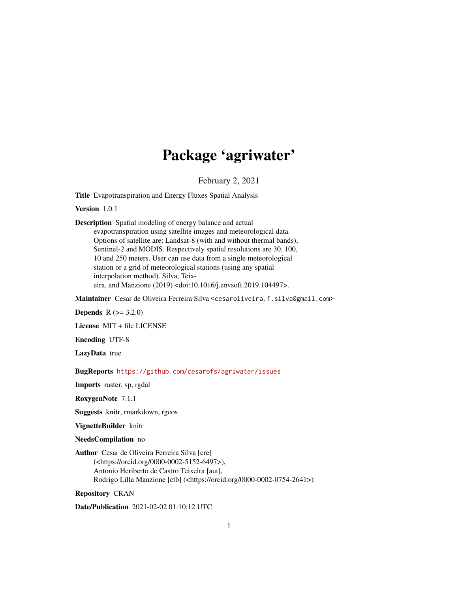# Package 'agriwater'

February 2, 2021

Title Evapotranspiration and Energy Fluxes Spatial Analysis

Version 1.0.1

Description Spatial modeling of energy balance and actual evapotranspiration using satellite images and meteorological data. Options of satellite are: Landsat-8 (with and without thermal bands), Sentinel-2 and MODIS. Respectively spatial resolutions are 30, 100, 10 and 250 meters. User can use data from a single meteorological station or a grid of meteorological stations (using any spatial interpolation method). Silva, Teixeira, and Manzione (2019) <doi:10.1016/j.envsoft.2019.104497>.

Maintainer Cesar de Oliveira Ferreira Silva <cesaroliveira.f.silva@gmail.com>

**Depends** R  $(>= 3.2.0)$ 

License MIT + file LICENSE

Encoding UTF-8

LazyData true

BugReports <https://github.com/cesarofs/agriwater/issues>

Imports raster, sp, rgdal

RoxygenNote 7.1.1

Suggests knitr, rmarkdown, rgeos

VignetteBuilder knitr

NeedsCompilation no

Author Cesar de Oliveira Ferreira Silva [cre] (<https://orcid.org/0000-0002-5152-6497>), Antonio Heriberto de Castro Teixeira [aut], Rodrigo Lilla Manzione [ctb] (<https://orcid.org/0000-0002-0754-2641>)

Repository CRAN

Date/Publication 2021-02-02 01:10:12 UTC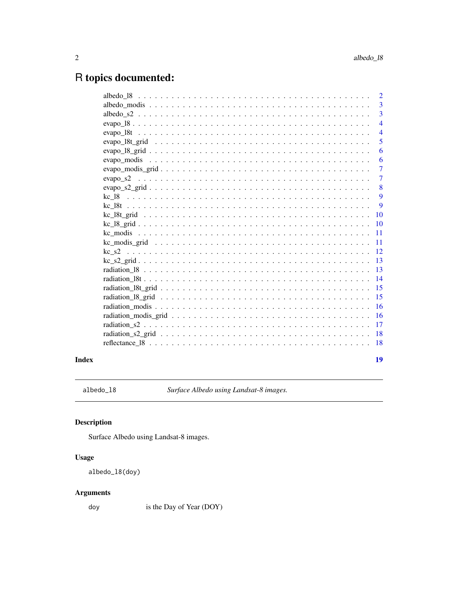# <span id="page-1-0"></span>R topics documented:

| $\overline{3}$  |
|-----------------|
| $\overline{3}$  |
| $\overline{4}$  |
| $\overline{4}$  |
| 5               |
| 6               |
| 6               |
| $\overline{7}$  |
| $\overline{7}$  |
| 8               |
| 9               |
| -9              |
|                 |
|                 |
| $\overline{11}$ |
| -11             |
| <sup>12</sup>   |
|                 |
| -13             |
|                 |
| 15              |
| 15              |
| 16              |
|                 |
|                 |
| <b>18</b>       |
|                 |
| 19              |
|                 |

# **Index**

 $albedo_18$ 

Surface Albedo using Landsat-8 images.

# $\begin{minipage}{.4\linewidth} \textbf{Description} \end{minipage} \vspace{-0.5em}$

Surface Albedo using Landsat-8 images.

# **Usage**

albedo\_18(doy)

# **Arguments**

doy is the Day of Year (DOY)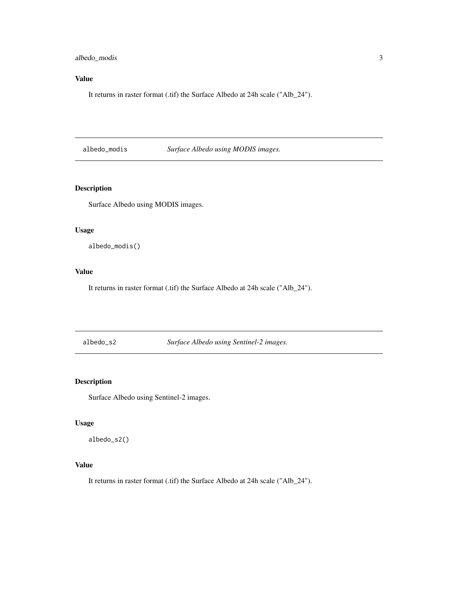<span id="page-2-0"></span>albedo\_modis 3

# Value

It returns in raster format (.tif) the Surface Albedo at 24h scale ("Alb\_24").

albedo\_modis *Surface Albedo using MODIS images.*

# Description

Surface Albedo using MODIS images.

# Usage

albedo\_modis()

# Value

It returns in raster format (.tif) the Surface Albedo at 24h scale ("Alb\_24").

albedo\_s2 *Surface Albedo using Sentinel-2 images.*

# Description

Surface Albedo using Sentinel-2 images.

#### Usage

albedo\_s2()

# Value

It returns in raster format (.tif) the Surface Albedo at 24h scale ("Alb\_24").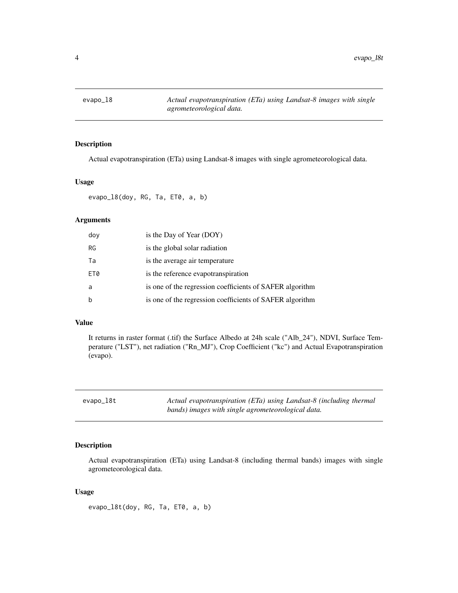<span id="page-3-0"></span>

Actual evapotranspiration (ETa) using Landsat-8 images with single agrometeorological data.

# Usage

evapo\_18(doy, RG, Ta, ET0, a, b)

# Arguments

| doy         | is the Day of Year (DOY)                                 |
|-------------|----------------------------------------------------------|
| <b>RG</b>   | is the global solar radiation                            |
| Ta          | is the average air temperature                           |
| ET0         | is the reference evapotranspiration                      |
| a           | is one of the regression coefficients of SAFER algorithm |
| $\mathsf b$ | is one of the regression coefficients of SAFER algorithm |

#### Value

It returns in raster format (.tif) the Surface Albedo at 24h scale ("Alb\_24"), NDVI, Surface Temperature ("LST"), net radiation ("Rn\_MJ"), Crop Coefficient ("kc") and Actual Evapotranspiration (evapo).

| evapo_l8t | Actual evapotranspiration (ETa) using Landsat-8 (including thermal |
|-----------|--------------------------------------------------------------------|
|           | bands) images with single agrometeorological data.                 |

# Description

Actual evapotranspiration (ETa) using Landsat-8 (including thermal bands) images with single agrometeorological data.

#### Usage

evapo\_l8t(doy, RG, Ta, ET0, a, b)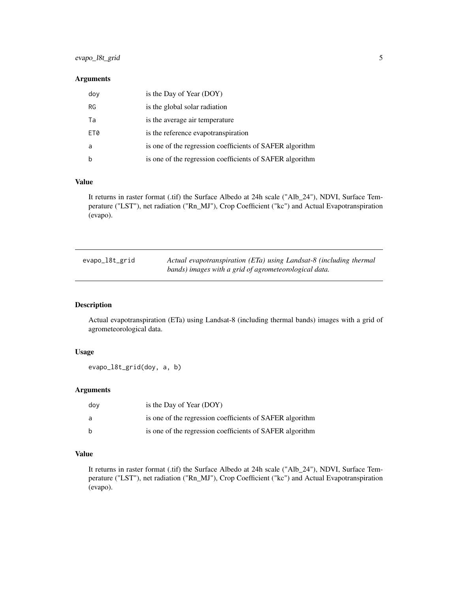# <span id="page-4-0"></span>evapo\_l8t\_grid 5

#### Arguments

| doy         | is the Day of Year (DOY)                                 |
|-------------|----------------------------------------------------------|
| RG          | is the global solar radiation                            |
| Ta          | is the average air temperature                           |
| ET0         | is the reference evapotranspiration                      |
| a           | is one of the regression coefficients of SAFER algorithm |
| $\mathbf b$ | is one of the regression coefficients of SAFER algorithm |

# Value

It returns in raster format (.tif) the Surface Albedo at 24h scale ("Alb\_24"), NDVI, Surface Temperature ("LST"), net radiation ("Rn\_MJ"), Crop Coefficient ("kc") and Actual Evapotranspiration (evapo).

| evapo_l8t_grid | Actual evapotranspiration (ETa) using Landsat-8 (including thermal |
|----------------|--------------------------------------------------------------------|
|                | bands) images with a grid of agrometeorological data.              |

# Description

Actual evapotranspiration (ETa) using Landsat-8 (including thermal bands) images with a grid of agrometeorological data.

#### Usage

evapo\_l8t\_grid(doy, a, b)

# Arguments

| dov | is the Day of Year (DOY)                                 |
|-----|----------------------------------------------------------|
| a   | is one of the regression coefficients of SAFER algorithm |
| b   | is one of the regression coefficients of SAFER algorithm |

# Value

It returns in raster format (.tif) the Surface Albedo at 24h scale ("Alb\_24"), NDVI, Surface Temperature ("LST"), net radiation ("Rn\_MJ"), Crop Coefficient ("kc") and Actual Evapotranspiration (evapo).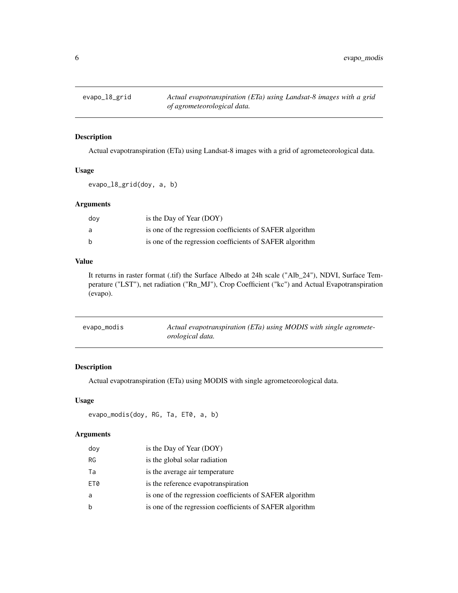<span id="page-5-0"></span>

Actual evapotranspiration (ETa) using Landsat-8 images with a grid of agrometeorological data.

# Usage

evapo\_l8\_grid(doy, a, b)

# Arguments

| dov | is the Day of Year (DOY)                                 |
|-----|----------------------------------------------------------|
| a   | is one of the regression coefficients of SAFER algorithm |
| b   | is one of the regression coefficients of SAFER algorithm |

# Value

It returns in raster format (.tif) the Surface Albedo at 24h scale ("Alb\_24"), NDVI, Surface Temperature ("LST"), net radiation ("Rn\_MJ"), Crop Coefficient ("kc") and Actual Evapotranspiration (evapo).

| evapo_modis | Actual evapotranspiration (ETa) using MODIS with single agromete- |
|-------------|-------------------------------------------------------------------|
|             | <i>orological data.</i>                                           |

# Description

Actual evapotranspiration (ETa) using MODIS with single agrometeorological data.

#### Usage

```
evapo_modis(doy, RG, Ta, ET0, a, b)
```

| doy       | is the Day of Year (DOY)                                 |
|-----------|----------------------------------------------------------|
| <b>RG</b> | is the global solar radiation                            |
| Ta        | is the average air temperature                           |
| ET0       | is the reference evapotranspiration                      |
| a         | is one of the regression coefficients of SAFER algorithm |
| b         | is one of the regression coefficients of SAFER algorithm |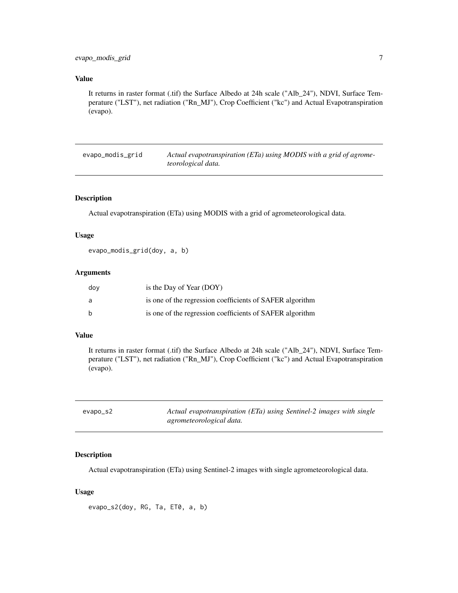<span id="page-6-0"></span>It returns in raster format (.tif) the Surface Albedo at 24h scale ("Alb\_24"), NDVI, Surface Temperature ("LST"), net radiation ("Rn\_MJ"), Crop Coefficient ("kc") and Actual Evapotranspiration (evapo).

evapo\_modis\_grid *Actual evapotranspiration (ETa) using MODIS with a grid of agrometeorological data.*

# Description

Actual evapotranspiration (ETa) using MODIS with a grid of agrometeorological data.

# Usage

evapo\_modis\_grid(doy, a, b)

#### Arguments

| dov          | is the Day of Year (DOY)                                 |
|--------------|----------------------------------------------------------|
| a            | is one of the regression coefficients of SAFER algorithm |
| <sub>b</sub> | is one of the regression coefficients of SAFER algorithm |

#### Value

It returns in raster format (.tif) the Surface Albedo at 24h scale ("Alb\_24"), NDVI, Surface Temperature ("LST"), net radiation ("Rn\_MJ"), Crop Coefficient ("kc") and Actual Evapotranspiration (evapo).

| evapo_s2 | Actual evapotranspiration (ETa) using Sentinel-2 images with single |
|----------|---------------------------------------------------------------------|
|          | agrometeorological data.                                            |

# Description

Actual evapotranspiration (ETa) using Sentinel-2 images with single agrometeorological data.

#### Usage

evapo\_s2(doy, RG, Ta, ET0, a, b)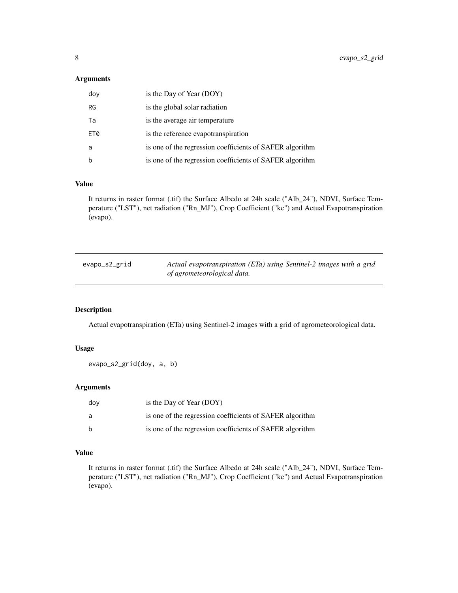# <span id="page-7-0"></span>Arguments

| doy         | is the Day of Year (DOY)                                 |
|-------------|----------------------------------------------------------|
| RG          | is the global solar radiation                            |
| Ta          | is the average air temperature                           |
| ET0         | is the reference evapotranspiration                      |
| a           | is one of the regression coefficients of SAFER algorithm |
| $\mathbf b$ | is one of the regression coefficients of SAFER algorithm |

# Value

It returns in raster format (.tif) the Surface Albedo at 24h scale ("Alb\_24"), NDVI, Surface Temperature ("LST"), net radiation ("Rn\_MJ"), Crop Coefficient ("kc") and Actual Evapotranspiration (evapo).

| evapo_s2_grid | Actual evapotranspiration (ETa) using Sentinel-2 images with a grid |
|---------------|---------------------------------------------------------------------|
|               | of agrometeorological data.                                         |

# Description

Actual evapotranspiration (ETa) using Sentinel-2 images with a grid of agrometeorological data.

# Usage

```
evapo_s2_grid(doy, a, b)
```
# Arguments

| dov          | is the Day of Year (DOY)                                 |
|--------------|----------------------------------------------------------|
| a            | is one of the regression coefficients of SAFER algorithm |
| <sub>b</sub> | is one of the regression coefficients of SAFER algorithm |

# Value

It returns in raster format (.tif) the Surface Albedo at 24h scale ("Alb\_24"), NDVI, Surface Temperature ("LST"), net radiation ("Rn\_MJ"), Crop Coefficient ("kc") and Actual Evapotranspiration (evapo).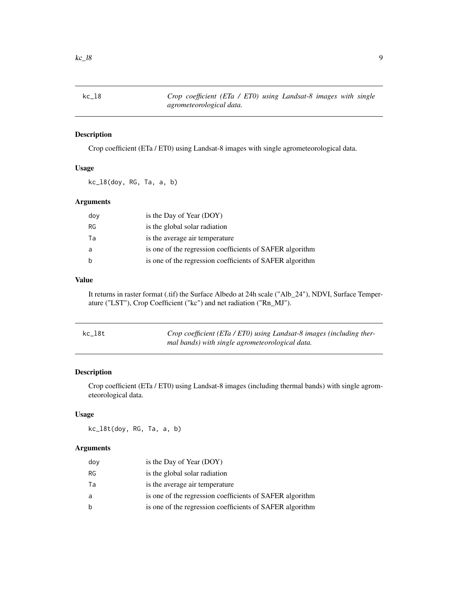<span id="page-8-0"></span>

Crop coefficient (ETa / ET0) using Landsat-8 images with single agrometeorological data.

# Usage

kc\_l8(doy, RG, Ta, a, b)

# Arguments

| doy | is the Day of Year (DOY)                                 |
|-----|----------------------------------------------------------|
| RG  | is the global solar radiation                            |
| Ta  | is the average air temperature                           |
| a   | is one of the regression coefficients of SAFER algorithm |
| b   | is one of the regression coefficients of SAFER algorithm |

# Value

It returns in raster format (.tif) the Surface Albedo at 24h scale ("Alb\_24"), NDVI, Surface Temperature ("LST"), Crop Coefficient ("kc") and net radiation ("Rn\_MJ").

| kc_l8t | Crop coefficient (ETa / ETO) using Landsat-8 images (including ther- |
|--------|----------------------------------------------------------------------|
|        | mal bands) with single agrometeorological data.                      |

#### Description

Crop coefficient (ETa / ET0) using Landsat-8 images (including thermal bands) with single agrometeorological data.

#### Usage

kc\_l8t(doy, RG, Ta, a, b)

| doy | is the Day of Year (DOY)                                 |
|-----|----------------------------------------------------------|
| RG  | is the global solar radiation                            |
| Та  | is the average air temperature                           |
| a   | is one of the regression coefficients of SAFER algorithm |
| b   | is one of the regression coefficients of SAFER algorithm |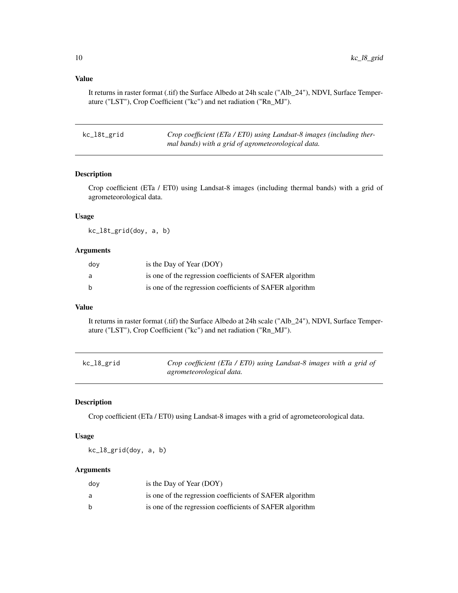It returns in raster format (.tif) the Surface Albedo at 24h scale ("Alb\_24"), NDVI, Surface Temperature ("LST"), Crop Coefficient ("kc") and net radiation ("Rn\_MJ").

| kc_l8t_grid | Crop coefficient (ETa / ETO) using Landsat-8 images (including ther- |
|-------------|----------------------------------------------------------------------|
|             | mal bands) with a grid of agrometeorological data.                   |

# Description

Crop coefficient (ETa / ET0) using Landsat-8 images (including thermal bands) with a grid of agrometeorological data.

#### Usage

kc\_l8t\_grid(doy, a, b)

#### Arguments

| dov          | is the Day of Year (DOY)                                 |
|--------------|----------------------------------------------------------|
| a            | is one of the regression coefficients of SAFER algorithm |
| <sub>b</sub> | is one of the regression coefficients of SAFER algorithm |

#### Value

It returns in raster format (.tif) the Surface Albedo at 24h scale ("Alb\_24"), NDVI, Surface Temperature ("LST"), Crop Coefficient ("kc") and net radiation ("Rn\_MJ").

| kc_l8_grid | Crop coefficient (ETa / ETO) using Landsat-8 images with a grid of |
|------------|--------------------------------------------------------------------|
|            | agrometeorological data.                                           |

# Description

Crop coefficient (ETa / ET0) using Landsat-8 images with a grid of agrometeorological data.

# Usage

kc\_l8\_grid(doy, a, b)

| dov | is the Day of Year (DOY)                                 |
|-----|----------------------------------------------------------|
| a   | is one of the regression coefficients of SAFER algorithm |
| b   | is one of the regression coefficients of SAFER algorithm |

<span id="page-9-0"></span>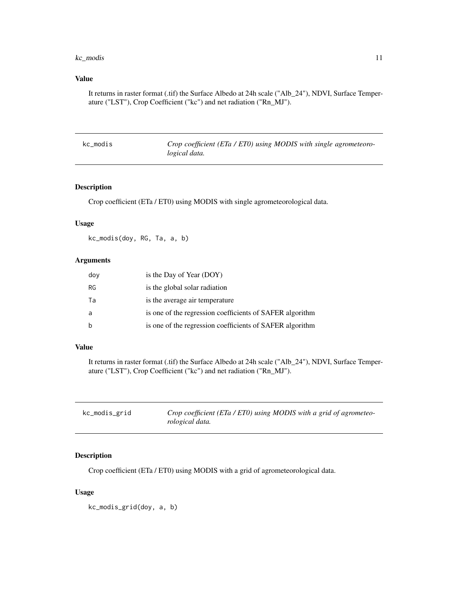#### <span id="page-10-0"></span>kc\_modis 11

# Value

It returns in raster format (.tif) the Surface Albedo at 24h scale ("Alb\_24"), NDVI, Surface Temperature ("LST"), Crop Coefficient ("kc") and net radiation ("Rn\_MJ").

| kc_modis | Crop coefficient (ETa / ETO) using MODIS with single agrometeoro- |
|----------|-------------------------------------------------------------------|
|          | logical data.                                                     |

# Description

Crop coefficient (ETa / ET0) using MODIS with single agrometeorological data.

# Usage

kc\_modis(doy, RG, Ta, a, b)

# Arguments

| doy | is the Day of Year (DOY)                                 |
|-----|----------------------------------------------------------|
| RG  | is the global solar radiation                            |
| Та  | is the average air temperature                           |
| a   | is one of the regression coefficients of SAFER algorithm |
| b   | is one of the regression coefficients of SAFER algorithm |

# Value

It returns in raster format (.tif) the Surface Albedo at 24h scale ("Alb\_24"), NDVI, Surface Temperature ("LST"), Crop Coefficient ("kc") and net radiation ("Rn\_MJ").

| kc_modis_grid | Crop coefficient (ETa / ETO) using MODIS with a grid of agrometeo- |
|---------------|--------------------------------------------------------------------|
|               | rological data.                                                    |

# Description

Crop coefficient (ETa / ET0) using MODIS with a grid of agrometeorological data.

#### Usage

kc\_modis\_grid(doy, a, b)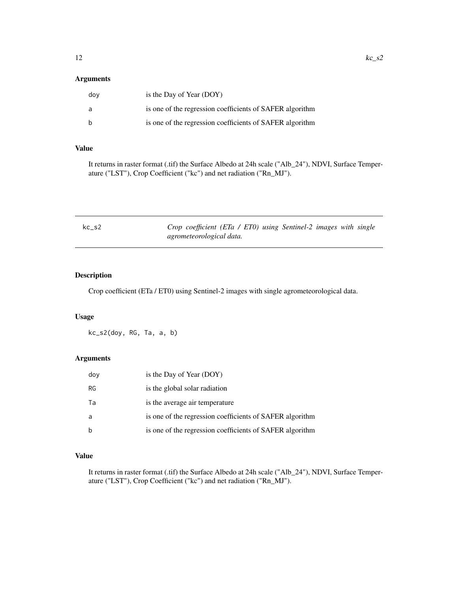# <span id="page-11-0"></span>Arguments

| dov | is the Day of Year $(DOY)$                               |
|-----|----------------------------------------------------------|
| - a | is one of the regression coefficients of SAFER algorithm |
| - b | is one of the regression coefficients of SAFER algorithm |

# Value

It returns in raster format (.tif) the Surface Albedo at 24h scale ("Alb\_24"), NDVI, Surface Temperature ("LST"), Crop Coefficient ("kc") and net radiation ("Rn\_MJ").

| kc s2 | Crop coefficient (ETa / ETO) using Sentinel-2 images with single |
|-------|------------------------------------------------------------------|
|       | agrometeorological data.                                         |

# Description

Crop coefficient (ETa / ET0) using Sentinel-2 images with single agrometeorological data.

# Usage

kc\_s2(doy, RG, Ta, a, b)

# Arguments

| doy | is the Day of Year (DOY)                                 |
|-----|----------------------------------------------------------|
| RG  | is the global solar radiation                            |
| Та  | is the average air temperature                           |
| a   | is one of the regression coefficients of SAFER algorithm |
| b   | is one of the regression coefficients of SAFER algorithm |

# Value

It returns in raster format (.tif) the Surface Albedo at 24h scale ("Alb\_24"), NDVI, Surface Temperature ("LST"), Crop Coefficient ("kc") and net radiation ("Rn\_MJ").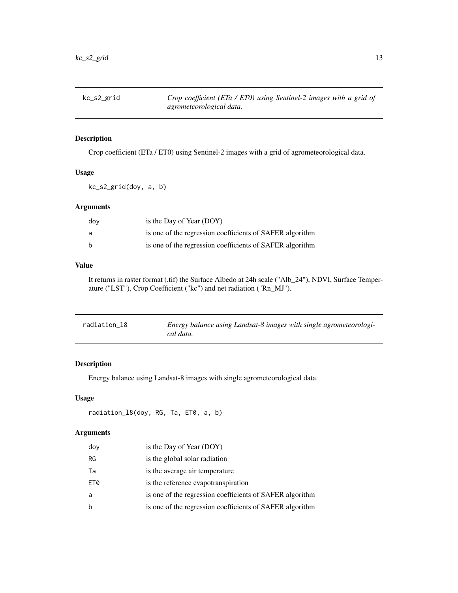<span id="page-12-0"></span>

Crop coefficient (ETa / ET0) using Sentinel-2 images with a grid of agrometeorological data.

# Usage

kc\_s2\_grid(doy, a, b)

# Arguments

| dov | is the Day of Year (DOY)                                 |
|-----|----------------------------------------------------------|
| a   | is one of the regression coefficients of SAFER algorithm |
| b   | is one of the regression coefficients of SAFER algorithm |

# Value

It returns in raster format (.tif) the Surface Albedo at 24h scale ("Alb\_24"), NDVI, Surface Temperature ("LST"), Crop Coefficient ("kc") and net radiation ("Rn\_MJ").

| radiation 18 | Energy balance using Landsat-8 images with single agrometeorologi-<br>cal data. |
|--------------|---------------------------------------------------------------------------------|
|--------------|---------------------------------------------------------------------------------|

# Description

Energy balance using Landsat-8 images with single agrometeorological data.

# Usage

```
radiation_l8(doy, RG, Ta, ET0, a, b)
```

| doy         | is the Day of Year (DOY)                                 |
|-------------|----------------------------------------------------------|
| RG          | is the global solar radiation                            |
| Ta          | is the average air temperature                           |
| ET0         | is the reference evapotranspiration                      |
| a           | is one of the regression coefficients of SAFER algorithm |
| $\mathbf b$ | is one of the regression coefficients of SAFER algorithm |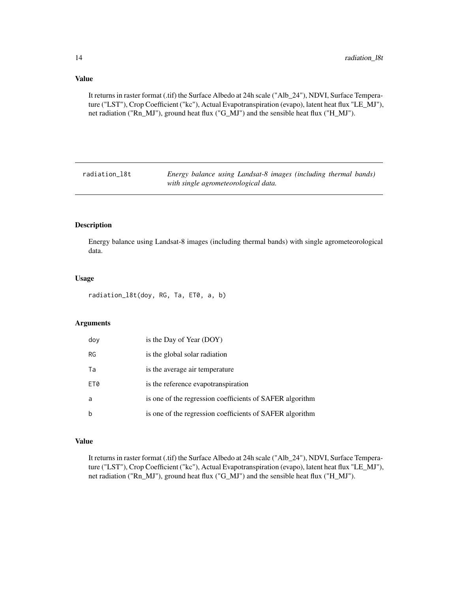<span id="page-13-0"></span>It returns in raster format (.tif) the Surface Albedo at 24h scale ("Alb\_24"), NDVI, Surface Temperature ("LST"), Crop Coefficient ("kc"), Actual Evapotranspiration (evapo), latent heat flux "LE\_MJ"), net radiation ("Rn\_MJ"), ground heat flux ("G\_MJ") and the sensible heat flux ("H\_MJ").

radiation\_l8t *Energy balance using Landsat-8 images (including thermal bands) with single agrometeorological data.*

#### Description

Energy balance using Landsat-8 images (including thermal bands) with single agrometeorological data.

#### Usage

radiation\_l8t(doy, RG, Ta, ET0, a, b)

# Arguments

| doy | is the Day of Year (DOY)                                 |
|-----|----------------------------------------------------------|
| RG  | is the global solar radiation                            |
| Ta  | is the average air temperature                           |
| ET0 | is the reference evapotranspiration                      |
| a   | is one of the regression coefficients of SAFER algorithm |
| b   | is one of the regression coefficients of SAFER algorithm |

# Value

It returns in raster format (.tif) the Surface Albedo at 24h scale ("Alb\_24"), NDVI, Surface Temperature ("LST"), Crop Coefficient ("kc"), Actual Evapotranspiration (evapo), latent heat flux "LE\_MJ"), net radiation ("Rn\_MJ"), ground heat flux ("G\_MJ") and the sensible heat flux ("H\_MJ").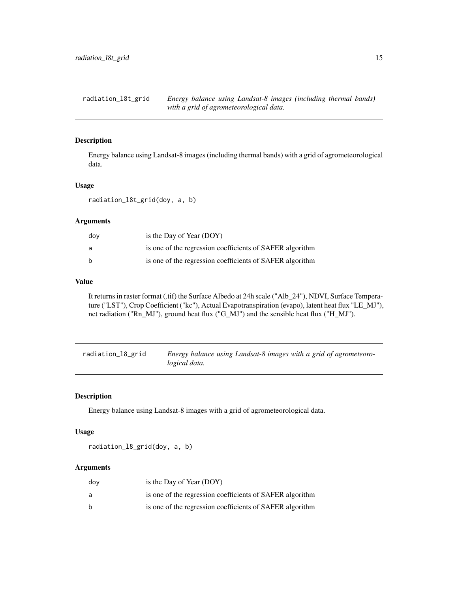<span id="page-14-0"></span>radiation\_l8t\_grid *Energy balance using Landsat-8 images (including thermal bands) with a grid of agrometeorological data.*

# Description

Energy balance using Landsat-8 images (including thermal bands) with a grid of agrometeorological data.

#### Usage

radiation\_l8t\_grid(doy, a, b)

#### Arguments

| dov | is the Day of Year (DOY)                                 |
|-----|----------------------------------------------------------|
| a   | is one of the regression coefficients of SAFER algorithm |
| h   | is one of the regression coefficients of SAFER algorithm |

#### Value

It returns in raster format (.tif) the Surface Albedo at 24h scale ("Alb\_24"), NDVI, Surface Temperature ("LST"), Crop Coefficient ("kc"), Actual Evapotranspiration (evapo), latent heat flux "LE\_MJ"), net radiation ("Rn\_MJ"), ground heat flux ("G\_MJ") and the sensible heat flux ("H\_MJ").

radiation\_l8\_grid *Energy balance using Landsat-8 images with a grid of agrometeorological data.*

#### Description

Energy balance using Landsat-8 images with a grid of agrometeorological data.

# Usage

radiation\_l8\_grid(doy, a, b)

| dov | is the Day of Year $(DOY)$                               |
|-----|----------------------------------------------------------|
| a   | is one of the regression coefficients of SAFER algorithm |
| b   | is one of the regression coefficients of SAFER algorithm |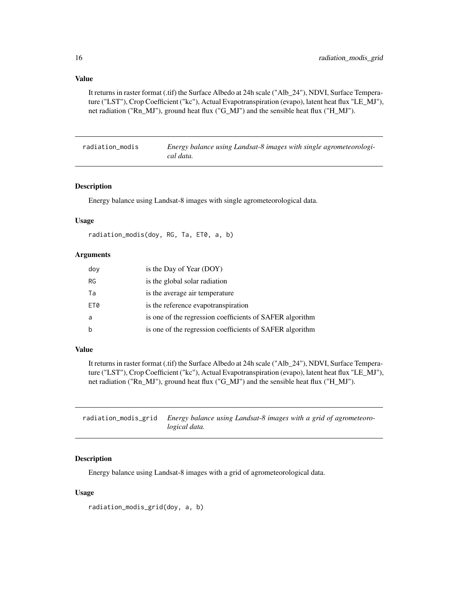<span id="page-15-0"></span>It returns in raster format (.tif) the Surface Albedo at 24h scale ("Alb\_24"), NDVI, Surface Temperature ("LST"), Crop Coefficient ("kc"), Actual Evapotranspiration (evapo), latent heat flux "LE\_MJ"), net radiation ("Rn\_MJ"), ground heat flux ("G\_MJ") and the sensible heat flux ("H\_MJ").

| radiation modis | Energy balance using Landsat-8 images with single agrometeorologi- |
|-----------------|--------------------------------------------------------------------|
|                 | cal data.                                                          |

# Description

Energy balance using Landsat-8 images with single agrometeorological data.

#### Usage

```
radiation_modis(doy, RG, Ta, ET0, a, b)
```
#### Arguments

| doy         | is the Day of Year (DOY)                                 |
|-------------|----------------------------------------------------------|
| <b>RG</b>   | is the global solar radiation                            |
| Ta          | is the average air temperature                           |
| ET0         | is the reference evapotranspiration                      |
| a           | is one of the regression coefficients of SAFER algorithm |
| $\mathsf b$ | is one of the regression coefficients of SAFER algorithm |

#### Value

It returns in raster format (.tif) the Surface Albedo at 24h scale ("Alb\_24"), NDVI, Surface Temperature ("LST"), Crop Coefficient ("kc"), Actual Evapotranspiration (evapo), latent heat flux "LE\_MJ"), net radiation ("Rn\_MJ"), ground heat flux ("G\_MJ") and the sensible heat flux ("H\_MJ").

| radiation_modis_grid Energy balance using Landsat-8 images with a grid of agrometeoro- |
|----------------------------------------------------------------------------------------|
| logical data.                                                                          |

#### Description

Energy balance using Landsat-8 images with a grid of agrometeorological data.

#### Usage

radiation\_modis\_grid(doy, a, b)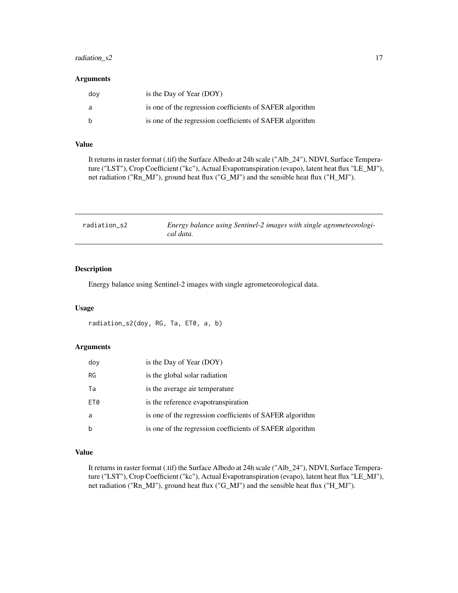#### <span id="page-16-0"></span>radiation\_s2 17

# Arguments

| dov | is the Day of Year (DOY)                                 |
|-----|----------------------------------------------------------|
| - a | is one of the regression coefficients of SAFER algorithm |
|     | is one of the regression coefficients of SAFER algorithm |

# Value

It returns in raster format (.tif) the Surface Albedo at 24h scale ("Alb\_24"), NDVI, Surface Temperature ("LST"), Crop Coefficient ("kc"), Actual Evapotranspiration (evapo), latent heat flux "LE\_MJ"), net radiation ("Rn\_MJ"), ground heat flux ("G\_MJ") and the sensible heat flux ("H\_MJ").

| radiation s2 | Energy balance using Sentinel-2 images with single agrometeorologi- |
|--------------|---------------------------------------------------------------------|
|              | cal data.                                                           |

# Description

Energy balance using Sentinel-2 images with single agrometeorological data.

#### Usage

```
radiation_s2(doy, RG, Ta, ET0, a, b)
```
#### Arguments

| doy | is the Day of Year (DOY)                                 |
|-----|----------------------------------------------------------|
| RG  | is the global solar radiation                            |
| Ta  | is the average air temperature                           |
| ET0 | is the reference evapotranspiration                      |
| a   | is one of the regression coefficients of SAFER algorithm |
| b   | is one of the regression coefficients of SAFER algorithm |

# Value

It returns in raster format (.tif) the Surface Albedo at 24h scale ("Alb\_24"), NDVI, Surface Temperature ("LST"), Crop Coefficient ("kc"), Actual Evapotranspiration (evapo), latent heat flux "LE\_MJ"), net radiation ("Rn\_MJ"), ground heat flux ("G\_MJ") and the sensible heat flux ("H\_MJ").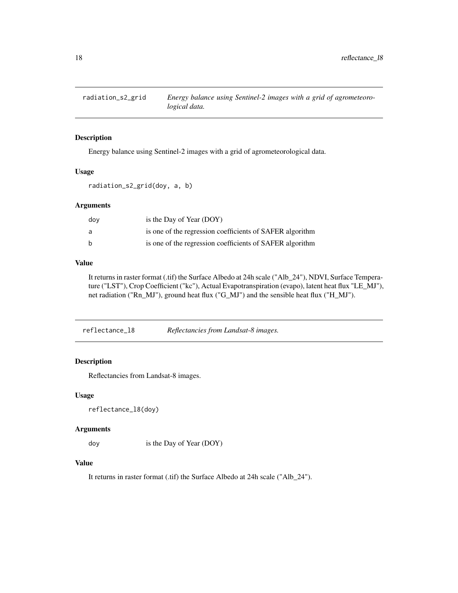<span id="page-17-0"></span>

Energy balance using Sentinel-2 images with a grid of agrometeorological data.

#### Usage

radiation\_s2\_grid(doy, a, b)

# Arguments

| dov | is the Day of Year (DOY)                                 |
|-----|----------------------------------------------------------|
| a   | is one of the regression coefficients of SAFER algorithm |
| h   | is one of the regression coefficients of SAFER algorithm |

# Value

It returns in raster format (.tif) the Surface Albedo at 24h scale ("Alb\_24"), NDVI, Surface Temperature ("LST"), Crop Coefficient ("kc"), Actual Evapotranspiration (evapo), latent heat flux "LE\_MJ"), net radiation ("Rn\_MJ"), ground heat flux ("G\_MJ") and the sensible heat flux ("H\_MJ").

reflectance\_l8 *Reflectancies from Landsat-8 images.*

# Description

Reflectancies from Landsat-8 images.

#### Usage

```
reflectance_l8(doy)
```
#### Arguments

doy is the Day of Year (DOY)

# Value

It returns in raster format (.tif) the Surface Albedo at 24h scale ("Alb\_24").